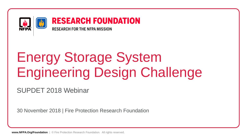

# Energy Storage System Engineering Design Challenge

SUPDET 2018 Webinar

30 November 2018 | Fire Protection Research Foundation

**www.NFPA.Org/Foundation** | © Fire Protection Research Foundation. All rights reserved.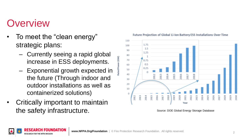### **Overview**

- To meet the "clean energy" strategic plans:
	- Currently seeing a rapid global increase in ESS deployments.
	- Exponential growth expected in the future (Through indoor and outdoor installations as well as containerized solutions)
- Critically important to maintain the safety infrastructure. Source: DOE Global Energy Storage Database



#### Future Projection of Global Li-Ion Battery ESS Installations Over Time

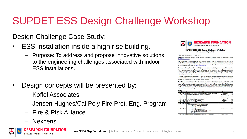### SUPDET ESS Design Challenge Workshop

### Design Challenge Case Study:

- ESS installation inside a high rise building.
	- Purpose: To address and propose innovative solutions to the engineering challenges associated with indoor ESS installations.
- Design concepts will be presented by:
	- Koffel Associates
	- Jensen Hughes/Cal Poly Fire Prot. Eng. Program
	- Fire & Risk Alliance
	- Nexceris





**RESEARCH FOUNDATION** 

**SUPDET 2018 ESS Design Challenge Workshop** Date Updated: 22 August 2018

 $\bullet$ 

When: 12 September 2018 1:00 - 5:00 pm ET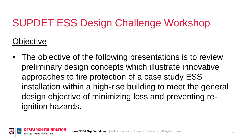### SUPDET ESS Design Challenge Workshop

**Objective** 

• The objective of the following presentations is to review preliminary design concepts which illustrate innovative approaches to fire protection of a case study ESS installation within a high-rise building to meet the general design objective of minimizing loss and preventing reignition hazards.

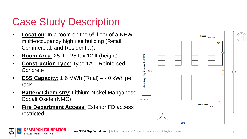### Case Study Description

- **Location**: In a room on the 5<sup>th</sup> floor of a NEW multi-occupancy high rise building (Retail, Commercial, and Residential).
- **Room Area:** 25 ft  $\times$  25 ft  $\times$  12 ft (height)
- **Construction Type**: Type 1A Reinforced Concrete
- **ESS Capacity**: 1.6 MWh (Total) 40 kWh per rack
- **Battery Chemistry**: Lithium Nickel Manganese Cobalt Oxide (NMC)
- **Fire Department Access**: Exterior FD access restricted



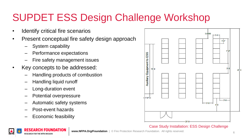### SUPDET ESS Design Challenge Workshop

- Identify critical fire scenarios
- Present conceptual fire safety design approach
	- System capability
	- Performance expectations
	- Fire safety management issues
- Key concepts to be addressed:
	- Handling products of combustion
	- Handling liquid runoff
	- Long-duration event
	- Potential overpressure
	- Automatic safety systems
	- Post-event hazards
	- Economic feasibility



Case Study Installation: ESS Design Challenge



**www.NFPA.Org/Foundation** | © Fire Protection Research Foundation. All rights reserved.